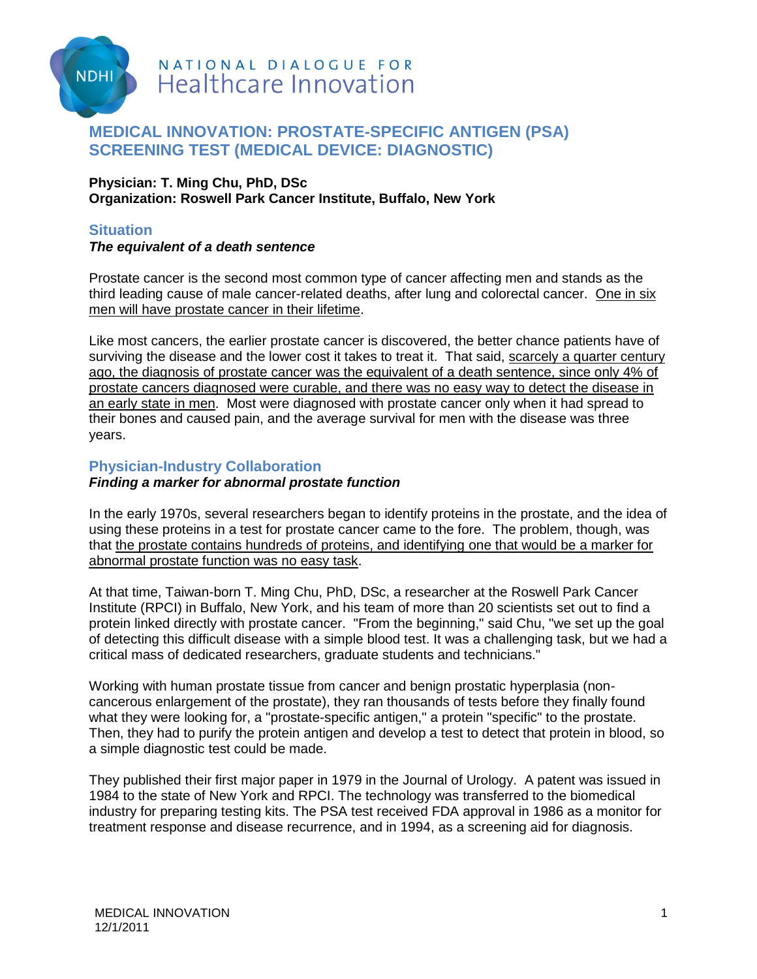

# **MEDICAL INNOVATION: PROSTATE-SPECIFIC ANTIGEN (PSA) SCREENING TEST (MEDICAL DEVICE: DIAGNOSTIC)**

#### **Physician: T. Ming Chu, PhD, DSc Organization: Roswell Park Cancer Institute, Buffalo, New York**

## **Situation**

### *The equivalent of a death sentence*

Prostate cancer is the second most common type of cancer affecting men and stands as the third leading cause of male cancer-related deaths, after lung and colorectal cancer. One in six men will have prostate cancer in their lifetime.

Like most cancers, the earlier prostate cancer is discovered, the better chance patients have of surviving the disease and the lower cost it takes to treat it. That said, scarcely a quarter century ago, the diagnosis of prostate cancer was the equivalent of a death sentence, since only 4% of prostate cancers diagnosed were curable, and there was no easy way to detect the disease in an early state in men. Most were diagnosed with prostate cancer only when it had spread to their bones and caused pain, and the average survival for men with the disease was three years.

## **Physician-Industry Collaboration**

### *Finding a marker for abnormal prostate function*

In the early 1970s, several researchers began to identify proteins in the prostate, and the idea of using these proteins in a test for prostate cancer came to the fore. The problem, though, was that the prostate contains hundreds of proteins, and identifying one that would be a marker for abnormal prostate function was no easy task.

At that time, Taiwan-born T. Ming Chu, PhD, DSc, a researcher at the Roswell Park Cancer Institute (RPCI) in Buffalo, New York, and his team of more than 20 scientists set out to find a protein linked directly with prostate cancer. "From the beginning," said Chu, "we set up the goal of detecting this difficult disease with a simple blood test. It was a challenging task, but we had a critical mass of dedicated researchers, graduate students and technicians."

Working with human prostate tissue from cancer and benign prostatic hyperplasia (noncancerous enlargement of the prostate), they ran thousands of tests before they finally found what they were looking for, a "prostate-specific antigen," a protein "specific" to the prostate. Then, they had to purify the protein antigen and develop a test to detect that protein in blood, so a simple diagnostic test could be made.

They published their first major paper in 1979 in the Journal of Urology. A patent was issued in 1984 to the state of New York and RPCI. The technology was transferred to the biomedical industry for preparing testing kits. The PSA test received FDA approval in 1986 as a monitor for treatment response and disease recurrence, and in 1994, as a screening aid for diagnosis.